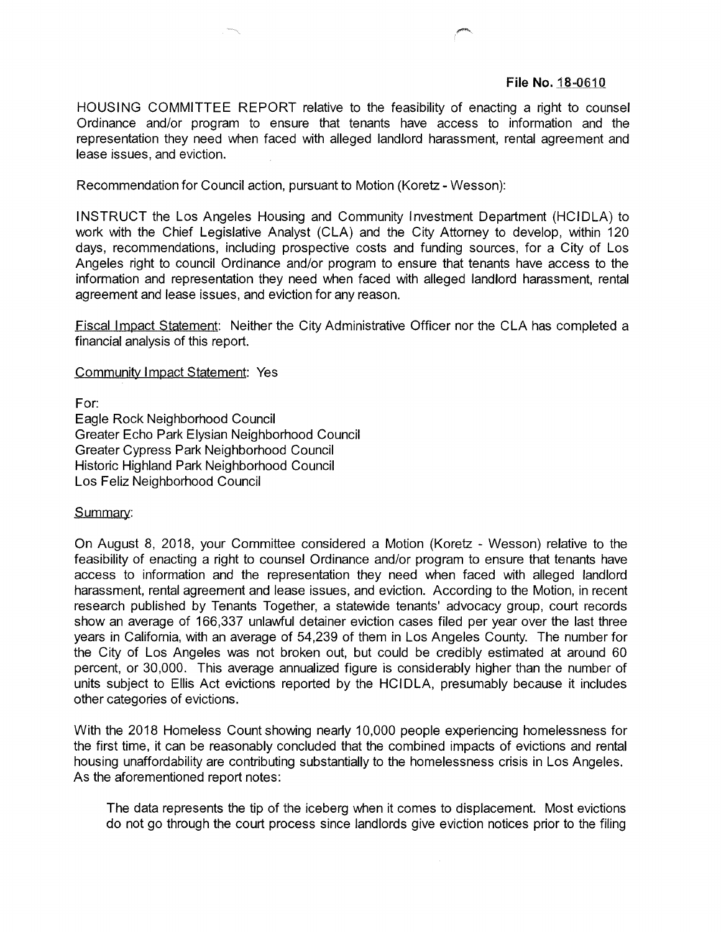## **File No.** 18-0610

HOUSING COMMITTEE REPORT relative to the feasibility of enacting a right to counsel Ordinance and/or program to ensure that tenants have access to information and the representation they need when faced with alleged landlord harassment, rental agreement and lease issues, and eviction.

Recommendation for Council action, pursuant to Motion (Koretz - Wesson):

INSTRUCT the Los Angeles Housing and Community Investment Department (HCIDLA) to work with the Chief Legislative Analyst (CLA) and the City Attorney to develop, within 120 days, recommendations, including prospective costs and funding sources, for a City of Los Angeles right to council Ordinance and/or program to ensure that tenants have access to the information and representation they need when faced with alleged landlord harassment, rental agreement and lease issues, and eviction for any reason.

Fiscal <sup>I</sup> mpact Statement: Neither the City Administrative Officer nor the CLA has completed a financial analysis of this report.

Community Impact Statement: Yes

For:

Eagle Rock Neighborhood Council Greater Echo Park Elysian Neighborhood Council Greater Cypress Park Neighborhood Council Historic Highland Park Neighborhood Council Los Feliz Neighborhood Council

## Summary:

On August 8, 2018, your Committee considered a Motion (Koretz - Wesson) relative to the feasibility of enacting a right to counsel Ordinance and/or program to ensure that tenants have access to information and the representation they need when faced with alleged landlord harassment, rental agreement and lease issues, and eviction. According to the Motion, in recent research published by Tenants Together, a statewide tenants' advocacy group, court records show an average of 166,337 unlawful detainer eviction cases filed per year over the last three years in California, with an average of 54,239 of them in Los Angeles County. The number for the City of Los Angeles was not broken out, but could be credibly estimated at around 60 percent, or 30,000. This average annualized figure is considerably higher than the number of units subject to Ellis Act evictions reported by the HCIDLA, presumably because it includes other categories of evictions.

With the 2018 Homeless Count showing nearly 10,000 people experiencing homelessness for the first time, it can be reasonably concluded that the combined impacts of evictions and rental housing unaffordability are contributing substantially to the homelessness crisis in Los Angeles. As the aforementioned report notes:

The data represents the tip of the iceberg when it comes to displacement. Most evictions do not go through the court process since landlords give eviction notices prior to the filing